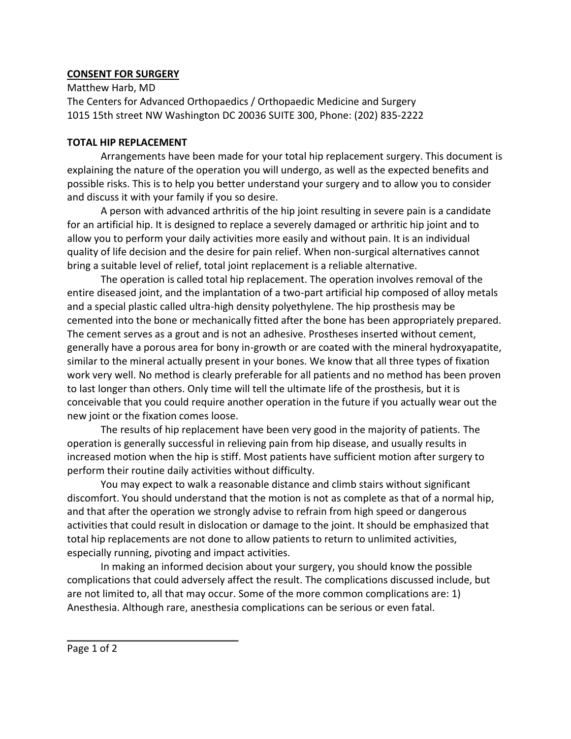## **CONSENT FOR SURGERY**

Matthew Harb, MD The Centers for Advanced Orthopaedics / Orthopaedic Medicine and Surgery 1015 15th street NW Washington DC 20036 SUITE 300, Phone: (202) 835-2222

## **TOTAL HIP REPLACEMENT**

Arrangements have been made for your total hip replacement surgery. This document is explaining the nature of the operation you will undergo, as well as the expected benefits and possible risks. This is to help you better understand your surgery and to allow you to consider and discuss it with your family if you so desire.

A person with advanced arthritis of the hip joint resulting in severe pain is a candidate for an artificial hip. It is designed to replace a severely damaged or arthritic hip joint and to allow you to perform your daily activities more easily and without pain. It is an individual quality of life decision and the desire for pain relief. When non-surgical alternatives cannot bring a suitable level of relief, total joint replacement is a reliable alternative.

The operation is called total hip replacement. The operation involves removal of the entire diseased joint, and the implantation of a two-part artificial hip composed of alloy metals and a special plastic called ultra-high density polyethylene. The hip prosthesis may be cemented into the bone or mechanically fitted after the bone has been appropriately prepared. The cement serves as a grout and is not an adhesive. Prostheses inserted without cement, generally have a porous area for bony in-growth or are coated with the mineral hydroxyapatite, similar to the mineral actually present in your bones. We know that all three types of fixation work very well. No method is clearly preferable for all patients and no method has been proven to last longer than others. Only time will tell the ultimate life of the prosthesis, but it is conceivable that you could require another operation in the future if you actually wear out the new joint or the fixation comes loose.

The results of hip replacement have been very good in the majority of patients. The operation is generally successful in relieving pain from hip disease, and usually results in increased motion when the hip is stiff. Most patients have sufficient motion after surgery to perform their routine daily activities without difficulty.

You may expect to walk a reasonable distance and climb stairs without significant discomfort. You should understand that the motion is not as complete as that of a normal hip, and that after the operation we strongly advise to refrain from high speed or dangerous activities that could result in dislocation or damage to the joint. It should be emphasized that total hip replacements are not done to allow patients to return to unlimited activities, especially running, pivoting and impact activities.

In making an informed decision about your surgery, you should know the possible complications that could adversely affect the result. The complications discussed include, but are not limited to, all that may occur. Some of the more common complications are: 1) Anesthesia. Although rare, anesthesia complications can be serious or even fatal.